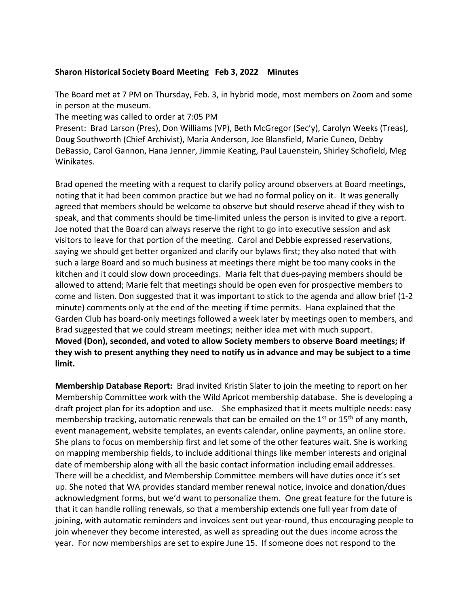## **Sharon Historical Society Board Meeting Feb 3, 2022 Minutes**

The Board met at 7 PM on Thursday, Feb. 3, in hybrid mode, most members on Zoom and some in person at the museum.

The meeting was called to order at 7:05 PM

Present: Brad Larson (Pres), Don Williams (VP), Beth McGregor (Sec'y), Carolyn Weeks (Treas), Doug Southworth (Chief Archivist), Maria Anderson, Joe Blansfield, Marie Cuneo, Debby DeBassio, Carol Gannon, Hana Jenner, Jimmie Keating, Paul Lauenstein, Shirley Schofield, Meg Winikates.

Brad opened the meeting with a request to clarify policy around observers at Board meetings, noting that it had been common practice but we had no formal policy on it. It was generally agreed that members should be welcome to observe but should reserve ahead if they wish to speak, and that comments should be time-limited unless the person is invited to give a report. Joe noted that the Board can always reserve the right to go into executive session and ask visitors to leave for that portion of the meeting. Carol and Debbie expressed reservations, saying we should get better organized and clarify our bylaws first; they also noted that with such a large Board and so much business at meetings there might be too many cooks in the kitchen and it could slow down proceedings. Maria felt that dues-paying members should be allowed to attend; Marie felt that meetings should be open even for prospective members to come and listen. Don suggested that it was important to stick to the agenda and allow brief (1-2 minute) comments only at the end of the meeting if time permits. Hana explained that the Garden Club has board-only meetings followed a week later by meetings open to members, and Brad suggested that we could stream meetings; neither idea met with much support. **Moved (Don), seconded, and voted to allow Society members to observe Board meetings; if they wish to present anything they need to notify us in advance and may be subject to a time limit.** 

**Membership Database Report:** Brad invited Kristin Slater to join the meeting to report on her Membership Committee work with the Wild Apricot membership database. She is developing a draft project plan for its adoption and use. She emphasized that it meets multiple needs: easy membership tracking, automatic renewals that can be emailed on the  $1<sup>st</sup>$  or  $15<sup>th</sup>$  of any month, event management, website templates, an events calendar, online payments, an online store. She plans to focus on membership first and let some of the other features wait. She is working on mapping membership fields, to include additional things like member interests and original date of membership along with all the basic contact information including email addresses. There will be a checklist, and Membership Committee members will have duties once it's set up. She noted that WA provides standard member renewal notice, invoice and donation/dues acknowledgment forms, but we'd want to personalize them. One great feature for the future is that it can handle rolling renewals, so that a membership extends one full year from date of joining, with automatic reminders and invoices sent out year-round, thus encouraging people to join whenever they become interested, as well as spreading out the dues income across the year. For now memberships are set to expire June 15. If someone does not respond to the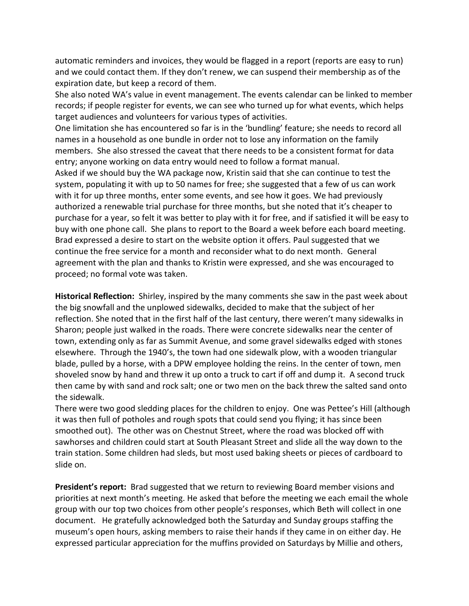automatic reminders and invoices, they would be flagged in a report (reports are easy to run) and we could contact them. If they don't renew, we can suspend their membership as of the expiration date, but keep a record of them.

She also noted WA's value in event management. The events calendar can be linked to member records; if people register for events, we can see who turned up for what events, which helps target audiences and volunteers for various types of activities.

One limitation she has encountered so far is in the 'bundling' feature; she needs to record all names in a household as one bundle in order not to lose any information on the family members. She also stressed the caveat that there needs to be a consistent format for data entry; anyone working on data entry would need to follow a format manual.

Asked if we should buy the WA package now, Kristin said that she can continue to test the system, populating it with up to 50 names for free; she suggested that a few of us can work with it for up three months, enter some events, and see how it goes. We had previously authorized a renewable trial purchase for three months, but she noted that it's cheaper to purchase for a year, so felt it was better to play with it for free, and if satisfied it will be easy to buy with one phone call. She plans to report to the Board a week before each board meeting. Brad expressed a desire to start on the website option it offers. Paul suggested that we continue the free service for a month and reconsider what to do next month. General agreement with the plan and thanks to Kristin were expressed, and she was encouraged to proceed; no formal vote was taken.

**Historical Reflection:** Shirley, inspired by the many comments she saw in the past week about the big snowfall and the unplowed sidewalks, decided to make that the subject of her reflection. She noted that in the first half of the last century, there weren't many sidewalks in Sharon; people just walked in the roads. There were concrete sidewalks near the center of town, extending only as far as Summit Avenue, and some gravel sidewalks edged with stones elsewhere. Through the 1940's, the town had one sidewalk plow, with a wooden triangular blade, pulled by a horse, with a DPW employee holding the reins. In the center of town, men shoveled snow by hand and threw it up onto a truck to cart if off and dump it. A second truck then came by with sand and rock salt; one or two men on the back threw the salted sand onto the sidewalk.

There were two good sledding places for the children to enjoy. One was Pettee's Hill (although it was then full of potholes and rough spots that could send you flying; it has since been smoothed out). The other was on Chestnut Street, where the road was blocked off with sawhorses and children could start at South Pleasant Street and slide all the way down to the train station. Some children had sleds, but most used baking sheets or pieces of cardboard to slide on.

**President's report:** Brad suggested that we return to reviewing Board member visions and priorities at next month's meeting. He asked that before the meeting we each email the whole group with our top two choices from other people's responses, which Beth will collect in one document. He gratefully acknowledged both the Saturday and Sunday groups staffing the museum's open hours, asking members to raise their hands if they came in on either day. He expressed particular appreciation for the muffins provided on Saturdays by Millie and others,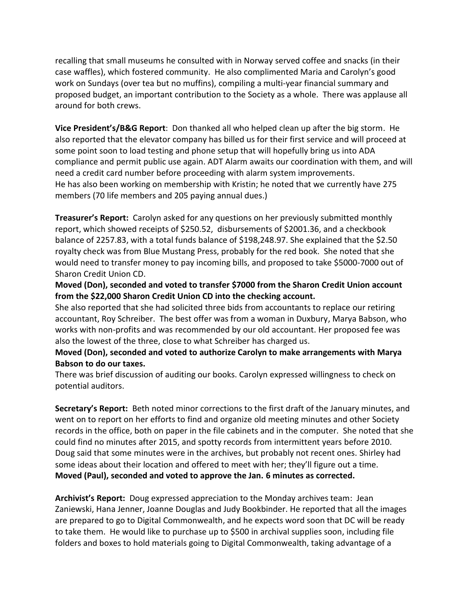recalling that small museums he consulted with in Norway served coffee and snacks (in their case waffles), which fostered community. He also complimented Maria and Carolyn's good work on Sundays (over tea but no muffins), compiling a multi-year financial summary and proposed budget, an important contribution to the Society as a whole. There was applause all around for both crews.

**Vice President's/B&G Report**: Don thanked all who helped clean up after the big storm. He also reported that the elevator company has billed us for their first service and will proceed at some point soon to load testing and phone setup that will hopefully bring us into ADA compliance and permit public use again. ADT Alarm awaits our coordination with them, and will need a credit card number before proceeding with alarm system improvements. He has also been working on membership with Kristin; he noted that we currently have 275 members (70 life members and 205 paying annual dues.)

**Treasurer's Report:** Carolyn asked for any questions on her previously submitted monthly report, which showed receipts of \$250.52, disbursements of \$2001.36, and a checkbook balance of 2257.83, with a total funds balance of \$198,248.97. She explained that the \$2.50 royalty check was from Blue Mustang Press, probably for the red book. She noted that she would need to transfer money to pay incoming bills, and proposed to take \$5000-7000 out of Sharon Credit Union CD.

**Moved (Don), seconded and voted to transfer \$7000 from the Sharon Credit Union account from the \$22,000 Sharon Credit Union CD into the checking account.**

She also reported that she had solicited three bids from accountants to replace our retiring accountant, Roy Schreiber. The best offer was from a woman in Duxbury, Marya Babson, who works with non-profits and was recommended by our old accountant. Her proposed fee was also the lowest of the three, close to what Schreiber has charged us.

**Moved (Don), seconded and voted to authorize Carolyn to make arrangements with Marya Babson to do our taxes.**

There was brief discussion of auditing our books. Carolyn expressed willingness to check on potential auditors.

**Secretary's Report:** Beth noted minor corrections to the first draft of the January minutes, and went on to report on her efforts to find and organize old meeting minutes and other Society records in the office, both on paper in the file cabinets and in the computer. She noted that she could find no minutes after 2015, and spotty records from intermittent years before 2010. Doug said that some minutes were in the archives, but probably not recent ones. Shirley had some ideas about their location and offered to meet with her; they'll figure out a time. **Moved (Paul), seconded and voted to approve the Jan. 6 minutes as corrected.**

**Archivist's Report:** Doug expressed appreciation to the Monday archives team: Jean Zaniewski, Hana Jenner, Joanne Douglas and Judy Bookbinder. He reported that all the images are prepared to go to Digital Commonwealth, and he expects word soon that DC will be ready to take them. He would like to purchase up to \$500 in archival supplies soon, including file folders and boxes to hold materials going to Digital Commonwealth, taking advantage of a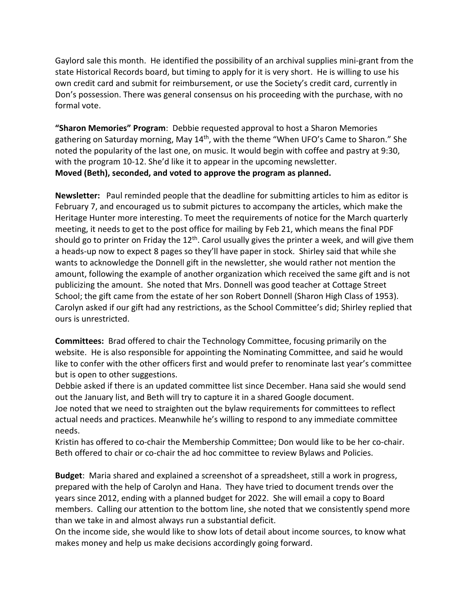Gaylord sale this month. He identified the possibility of an archival supplies mini-grant from the state Historical Records board, but timing to apply for it is very short. He is willing to use his own credit card and submit for reimbursement, or use the Society's credit card, currently in Don's possession. There was general consensus on his proceeding with the purchase, with no formal vote.

**"Sharon Memories" Program**: Debbie requested approval to host a Sharon Memories gathering on Saturday morning, May 14<sup>th</sup>, with the theme "When UFO's Came to Sharon." She noted the popularity of the last one, on music. It would begin with coffee and pastry at 9:30, with the program 10-12. She'd like it to appear in the upcoming newsletter. **Moved (Beth), seconded, and voted to approve the program as planned.**

**Newsletter:** Paul reminded people that the deadline for submitting articles to him as editor is February 7, and encouraged us to submit pictures to accompany the articles, which make the Heritage Hunter more interesting. To meet the requirements of notice for the March quarterly meeting, it needs to get to the post office for mailing by Feb 21, which means the final PDF should go to printer on Friday the 12<sup>th</sup>. Carol usually gives the printer a week, and will give them a heads-up now to expect 8 pages so they'll have paper in stock. Shirley said that while she wants to acknowledge the Donnell gift in the newsletter, she would rather not mention the amount, following the example of another organization which received the same gift and is not publicizing the amount. She noted that Mrs. Donnell was good teacher at Cottage Street School; the gift came from the estate of her son Robert Donnell (Sharon High Class of 1953). Carolyn asked if our gift had any restrictions, as the School Committee's did; Shirley replied that ours is unrestricted.

**Committees:** Brad offered to chair the Technology Committee, focusing primarily on the website. He is also responsible for appointing the Nominating Committee, and said he would like to confer with the other officers first and would prefer to renominate last year's committee but is open to other suggestions.

Debbie asked if there is an updated committee list since December. Hana said she would send out the January list, and Beth will try to capture it in a shared Google document.

Joe noted that we need to straighten out the bylaw requirements for committees to reflect actual needs and practices. Meanwhile he's willing to respond to any immediate committee needs.

Kristin has offered to co-chair the Membership Committee; Don would like to be her co-chair. Beth offered to chair or co-chair the ad hoc committee to review Bylaws and Policies.

**Budget**: Maria shared and explained a screenshot of a spreadsheet, still a work in progress, prepared with the help of Carolyn and Hana. They have tried to document trends over the years since 2012, ending with a planned budget for 2022. She will email a copy to Board members. Calling our attention to the bottom line, she noted that we consistently spend more than we take in and almost always run a substantial deficit.

On the income side, she would like to show lots of detail about income sources, to know what makes money and help us make decisions accordingly going forward.